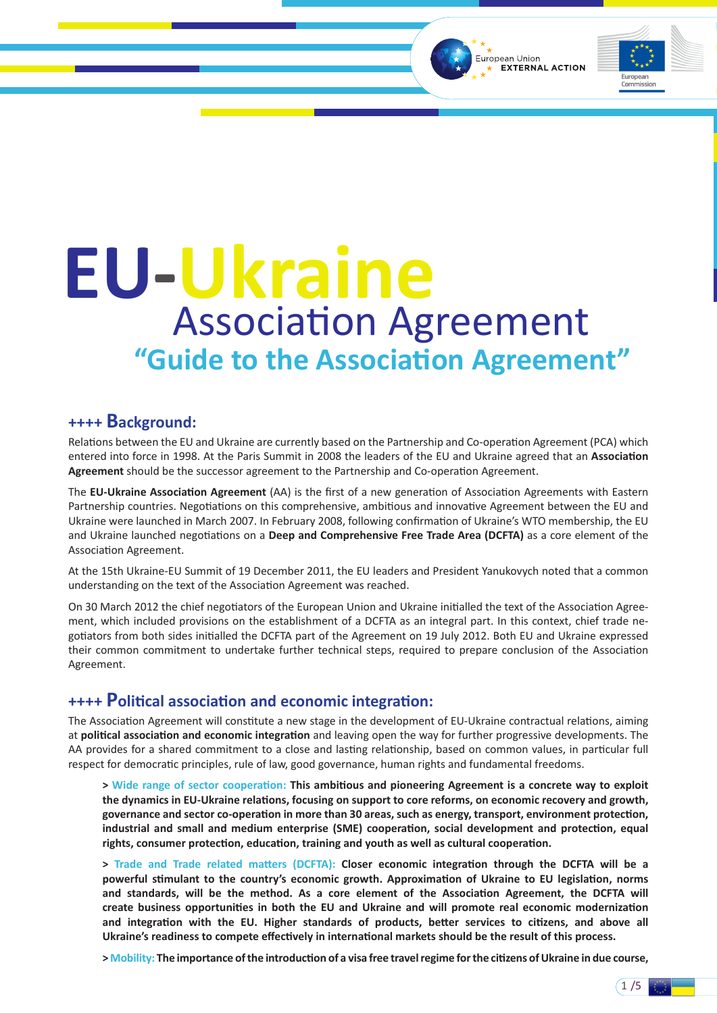European Union **EXTERNAL ACTION** 



 $1/5$ 

# **EU-Ukraine** Association Agreement **"Guide to the Association Agreement"**

### **++++ Background:**

Relations between the EU and Ukraine are currently based on the Partnership and Co-operation Agreement (PCA) which entered into force in 1998. At the Paris Summit in 2008 the leaders of the EU and Ukraine agreed that an **Association Agreement** should be the successor agreement to the Partnership and Co-operation Agreement.

The **EU-Ukraine Association Agreement** (AA) is the first of a new generation of Association Agreements with Eastern Partnership countries. Negotiations on this comprehensive, ambitious and innovative Agreement between the EU and Ukraine were launched in March 2007. In February 2008, following confirmation of Ukraine's WTO membership, the EU and Ukraine launched negotiations on a **Deep and Comprehensive Free Trade Area (DCFTA)** as a core element of the Association Agreement.

At the 15th Ukraine-EU Summit of 19 December 2011, the EU leaders and President Yanukovych noted that a common understanding on the text of the Association Agreement was reached.

On 30 March 2012 the chief negotiators of the European Union and Ukraine initialled the text of the Association Agreement, which included provisions on the establishment of a DCFTA as an integral part. In this context, chief trade negotiators from both sides initialled the DCFTA part of the Agreement on 19 July 2012. Both EU and Ukraine expressed their common commitment to undertake further technical steps, required to prepare conclusion of the Association Agreement.

# **++++ Political association and economic integration:**

The Association Agreement will constitute a new stage in the development of EU-Ukraine contractual relations, aiming at **political association and economic integration** and leaving open the way for further progressive developments. The AA provides for a shared commitment to a close and lasting relationship, based on common values, in particular full respect for democratic principles, rule of law, good governance, human rights and fundamental freedoms.

**> Wide range of sector cooperation: This ambitious and pioneering Agreement is a concrete way to exploit the dynamics in EU-Ukraine relations, focusing on support to core reforms, on economic recovery and growth, governance and sector co-operation in more than 30 areas, such as energy, transport, environment protection, industrial and small and medium enterprise (SME) cooperation, social development and protection, equal rights, consumer protection, education, training and youth as well as cultural cooperation.**

**> Trade and Trade related matters (DCFTA): Closer economic integration through the DCFTA will be a powerful stimulant to the country's economic growth. Approximation of Ukraine to EU legislation, norms and standards, will be the method. As a core element of the Association Agreement, the DCFTA will create business opportunities in both the EU and Ukraine and will promote real economic modernization and integration with the EU. Higher standards of products, better services to citizens, and above all Ukraine's readiness to compete effectively in international markets should be the result of this process.**

**> Mobility: The importance of the introduction of a visa free travel regime for the citizens of Ukraine in due course,**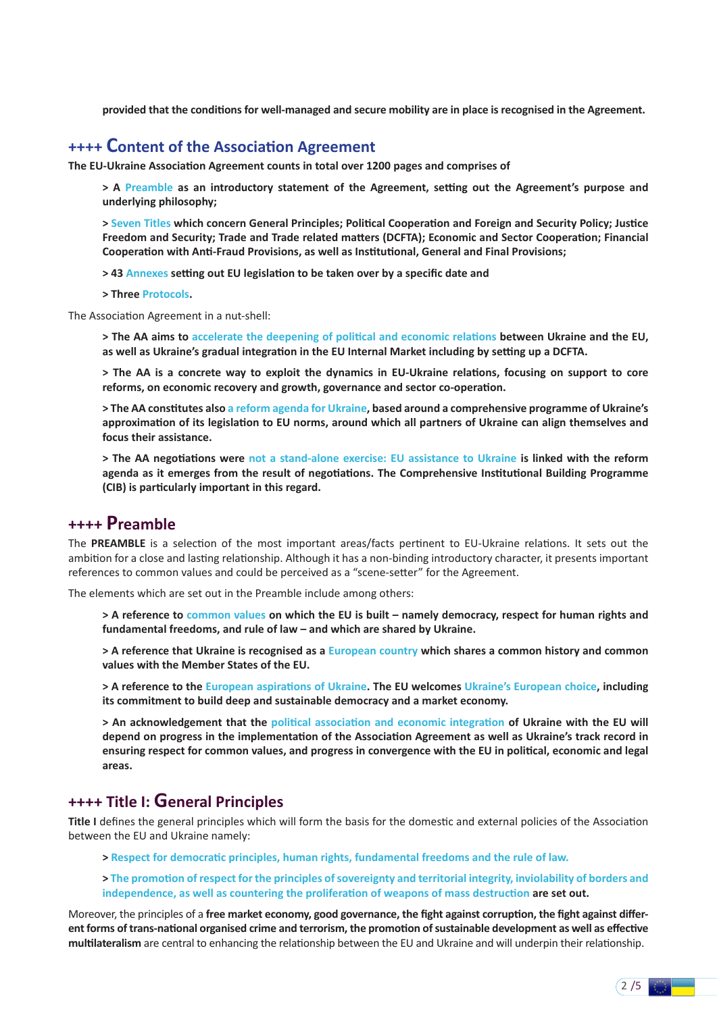**provided that the conditions for well-managed and secure mobility are in place is recognised in the Agreement.**

### **++++ Content of the Association Agreement**

**The EU-Ukraine Association Agreement counts in total over 1200 pages and comprises of**

**> A Preamble as an introductory statement of the Agreement, setting out the Agreement's purpose and underlying philosophy;**

**> Seven Titles which concern General Principles; Political Cooperation and Foreign and Security Policy; Justice Freedom and Security; Trade and Trade related matters (DCFTA); Economic and Sector Cooperation; Financial Cooperation with Anti-Fraud Provisions, as well as Institutional, General and Final Provisions;**

**> 43 Annexes setting out EU legislation to be taken over by a specific date and**

**> Three Protocols.**

The Association Agreement in a nut-shell:

**> The AA aims to accelerate the deepening of political and economic relations between Ukraine and the EU, as well as Ukraine's gradual integration in the EU Internal Market including by setting up a DCFTA.**

**> The AA is a concrete way to exploit the dynamics in EU-Ukraine relations, focusing on support to core reforms, on economic recovery and growth, governance and sector co-operation.**

**> The AA constitutes also a reform agenda for Ukraine, based around a comprehensive programme of Ukraine's approximation of its legislation to EU norms, around which all partners of Ukraine can align themselves and focus their assistance.**

**> The AA negotiations were not a stand-alone exercise: EU assistance to Ukraine is linked with the reform agenda as it emerges from the result of negotiations. The Comprehensive Institutional Building Programme (CIB) is particularly important in this regard.** 

# **++++ Preamble**

The **PREAMBLE** is a selection of the most important areas/facts pertinent to EU-Ukraine relations. It sets out the ambition for a close and lasting relationship. Although it has a non-binding introductory character, it presents important references to common values and could be perceived as a "scene-setter" for the Agreement.

The elements which are set out in the Preamble include among others:

**> A reference to common values on which the EU is built – namely democracy, respect for human rights and fundamental freedoms, and rule of law – and which are shared by Ukraine.**

**> A reference that Ukraine is recognised as a European country which shares a common history and common values with the Member States of the EU.**

**> A reference to the European aspirations of Ukraine. The EU welcomes Ukraine's European choice, including its commitment to build deep and sustainable democracy and a market economy.** 

**> An acknowledgement that the political association and economic integration of Ukraine with the EU will depend on progress in the implementation of the Association Agreement as well as Ukraine's track record in ensuring respect for common values, and progress in convergence with the EU in political, economic and legal areas.**

### **++++ Title I: General Principles**

**Title I** defines the general principles which will form the basis for the domestic and external policies of the Association between the EU and Ukraine namely:

- **> Respect for democratic principles, human rights, fundamental freedoms and the rule of law.**
- **> The promotion of respect for the principles of sovereignty and territorial integrity, inviolability of borders and independence, as well as countering the proliferation of weapons of mass destruction are set out.**

Moreover, the principles of a **free market economy, good governance, the fight against corruption, the fight against different forms of trans-national organised crime and terrorism, the promotion of sustainable development as well as effective multilateralism** are central to enhancing the relationship between the EU and Ukraine and will underpin their relationship.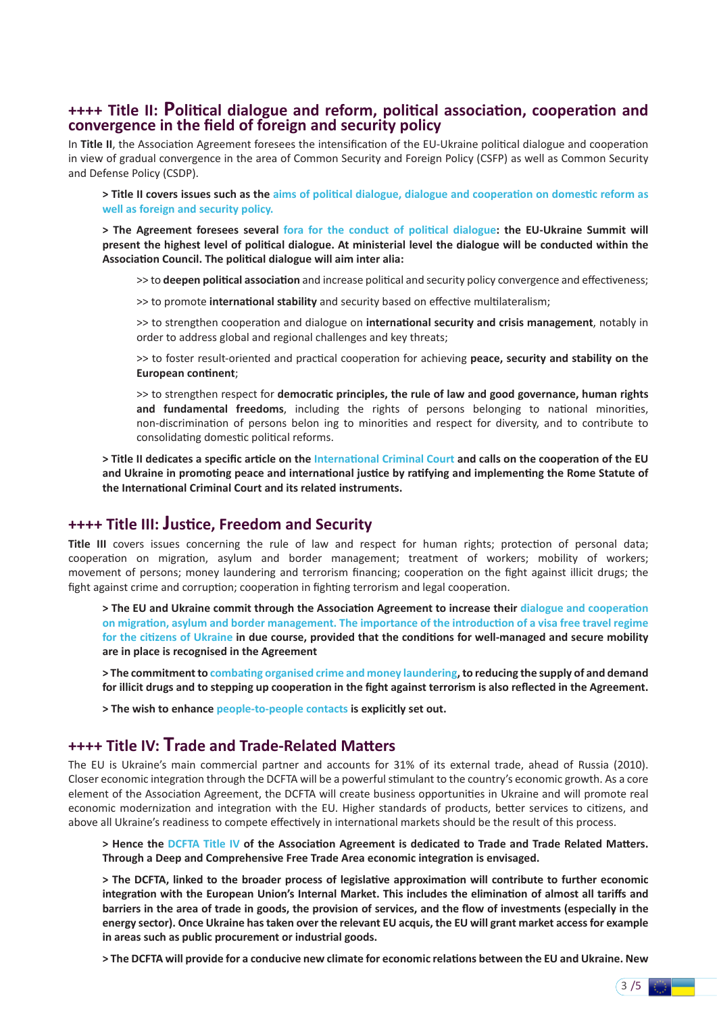# **++++ Title II: <sup>P</sup>olitical dialogue and reform, political association, cooperation and convergence in the field of foreign and security policy**

In **Title II**, the Association Agreement foresees the intensification of the EU-Ukraine political dialogue and cooperation in view of gradual convergence in the area of Common Security and Foreign Policy (CSFP) as well as Common Security and Defense Policy (CSDP).

**> Title II covers issues such as the aims of political dialogue, dialogue and cooperation on domestic reform as well as foreign and security policy.**

**> The Agreement foresees several fora for the conduct of political dialogue: the EU-Ukraine Summit will present the highest level of political dialogue. At ministerial level the dialogue will be conducted within the Association Council. The political dialogue will aim inter alia:**

>> to **deepen political association** and increase political and security policy convergence and effectiveness;

>> to promote **international stability** and security based on effective multilateralism;

>> to strengthen cooperation and dialogue on **international security and crisis management**, notably in order to address global and regional challenges and key threats;

>> to foster result-oriented and practical cooperation for achieving **peace, security and stability on the European continent**;

>> to strengthen respect for **democratic principles, the rule of law and good governance, human rights and fundamental freedoms**, including the rights of persons belonging to national minorities, non-discrimination of persons belon ing to minorities and respect for diversity, and to contribute to consolidating domestic political reforms.

**> Title II dedicates a specific article on the International Criminal Court and calls on the cooperation of the EU and Ukraine in promoting peace and international justice by ratifying and implementing the Rome Statute of the International Criminal Court and its related instruments.**

### **++++ Title III: Justice, Freedom and Security**

**Title III** covers issues concerning the rule of law and respect for human rights; protection of personal data; cooperation on migration, asylum and border management; treatment of workers; mobility of workers; movement of persons; money laundering and terrorism financing; cooperation on the fight against illicit drugs; the fight against crime and corruption; cooperation in fighting terrorism and legal cooperation.

**> The EU and Ukraine commit through the Association Agreement to increase their dialogue and cooperation on migration, asylum and border management. The importance of the introduction of a visa free travel regime for the citizens of Ukraine in due course, provided that the conditions for well-managed and secure mobility are in place is recognised in the Agreement**

**> The commitment to combating organised crime and money laundering, to reducing the supply of and demand for illicit drugs and to stepping up cooperation in the fight against terrorism is also reflected in the Agreement.**

**> The wish to enhance people-to-people contacts is explicitly set out.**

# **++++ Title IV: Trade and Trade-Related Matters**

The EU is Ukraine's main commercial partner and accounts for 31% of its external trade, ahead of Russia (2010). Closer economic integration through the DCFTA will be a powerful stimulant to the country's economic growth. As a core element of the Association Agreement, the DCFTA will create business opportunities in Ukraine and will promote real economic modernization and integration with the EU. Higher standards of products, better services to citizens, and above all Ukraine's readiness to compete effectively in international markets should be the result of this process.

**> Hence the DCFTA Title IV of the Association Agreement is dedicated to Trade and Trade Related Matters. Through a Deep and Comprehensive Free Trade Area economic integration is envisaged.**

**> The DCFTA, linked to the broader process of legislative approximation will contribute to further economic integration with the European Union's Internal Market. This includes the elimination of almost all tariffs and barriers in the area of trade in goods, the provision of services, and the flow of investments (especially in the energy sector). Once Ukraine has taken over the relevant EU acquis, the EU will grant market access for example in areas such as public procurement or industrial goods.**

**> The DCFTA will provide for a conducive new climate for economic relations between the EU and Ukraine. New** 

 $3/5$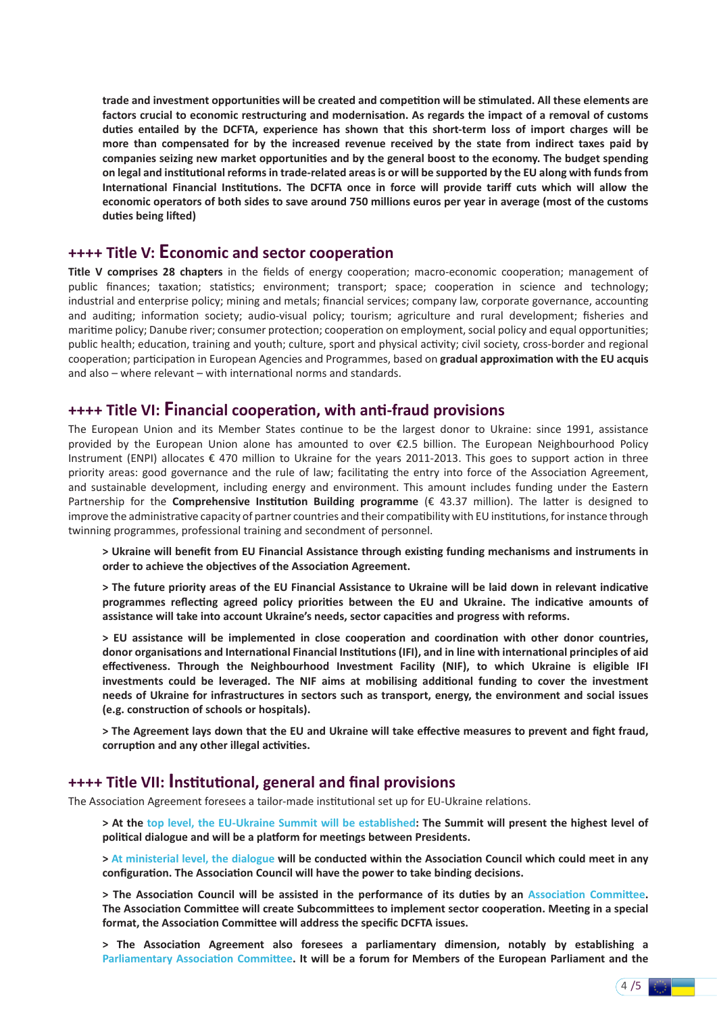**trade and investment opportunities will be created and competition will be stimulated. All these elements are factors crucial to economic restructuring and modernisation. As regards the impact of a removal of customs duties entailed by the DCFTA, experience has shown that this short-term loss of import charges will be more than compensated for by the increased revenue received by the state from indirect taxes paid by companies seizing new market opportunities and by the general boost to the economy. The budget spending on legal and institutional reforms in trade-related areas is or will be supported by the EU along with funds from International Financial Institutions. The DCFTA once in force will provide tariff cuts which will allow the economic operators of both sides to save around 750 millions euros per year in average (most of the customs duties being lifted)**

### **++++ Title V: Economic and sector cooperation**

**Title V comprises 28 chapters** in the fields of energy cooperation; macro-economic cooperation; management of public finances; taxation; statistics; environment; transport; space; cooperation in science and technology; industrial and enterprise policy; mining and metals; financial services; company law, corporate governance, accounting and auditing; information society; audio-visual policy; tourism; agriculture and rural development; fisheries and maritime policy; Danube river; consumer protection; cooperation on employment, social policy and equal opportunities; public health; education, training and youth; culture, sport and physical activity; civil society, cross-border and regional cooperation; participation in European Agencies and Programmes, based on **gradual approximation with the EU acquis** and also – where relevant – with international norms and standards.

### **++++ Title VI: Financial cooperation, with anti-fraud provisions**

The European Union and its Member States continue to be the largest donor to Ukraine: since 1991, assistance provided by the European Union alone has amounted to over €2.5 billion. The European Neighbourhood Policy Instrument (ENPI) allocates € 470 million to Ukraine for the years 2011-2013. This goes to support action in three priority areas: good governance and the rule of law; facilitating the entry into force of the Association Agreement, and sustainable development, including energy and environment. This amount includes funding under the Eastern Partnership for the **Comprehensive Institution Building programme** (€ 43.37 million). The latter is designed to improve the administrative capacity of partner countries and their compatibility with EU institutions, for instance through twinning programmes, professional training and secondment of personnel.

**> Ukraine will benefit from EU Financial Assistance through existing funding mechanisms and instruments in order to achieve the objectives of the Association Agreement.**

**> The future priority areas of the EU Financial Assistance to Ukraine will be laid down in relevant indicative programmes reflecting agreed policy priorities between the EU and Ukraine. The indicative amounts of assistance will take into account Ukraine's needs, sector capacities and progress with reforms.**

**> EU assistance will be implemented in close cooperation and coordination with other donor countries, donor organisations and International Financial Institutions (IFI), and in line with international principles of aid effectiveness. Through the Neighbourhood Investment Facility (NIF), to which Ukraine is eligible IFI investments could be leveraged. The NIF aims at mobilising additional funding to cover the investment needs of Ukraine for infrastructures in sectors such as transport, energy, the environment and social issues (e.g. construction of schools or hospitals).**

**> The Agreement lays down that the EU and Ukraine will take effective measures to prevent and fight fraud, corruption and any other illegal activities.**

### **++++ Title VII: Institutional, general and final provisions**

The Association Agreement foresees a tailor-made institutional set up for EU-Ukraine relations.

**> At the top level, the EU-Ukraine Summit will be established: The Summit will present the highest level of political dialogue and will be a platform for meetings between Presidents.**

**> At ministerial level, the dialogue will be conducted within the Association Council which could meet in any configuration. The Association Council will have the power to take binding decisions.** 

**> The Association Council will be assisted in the performance of its duties by an Association Committee. The Association Committee will create Subcommittees to implement sector cooperation. Meeting in a special format, the Association Committee will address the specific DCFTA issues.**

**> The Association Agreement also foresees a parliamentary dimension, notably by establishing a Parliamentary Association Committee. It will be a forum for Members of the European Parliament and the**